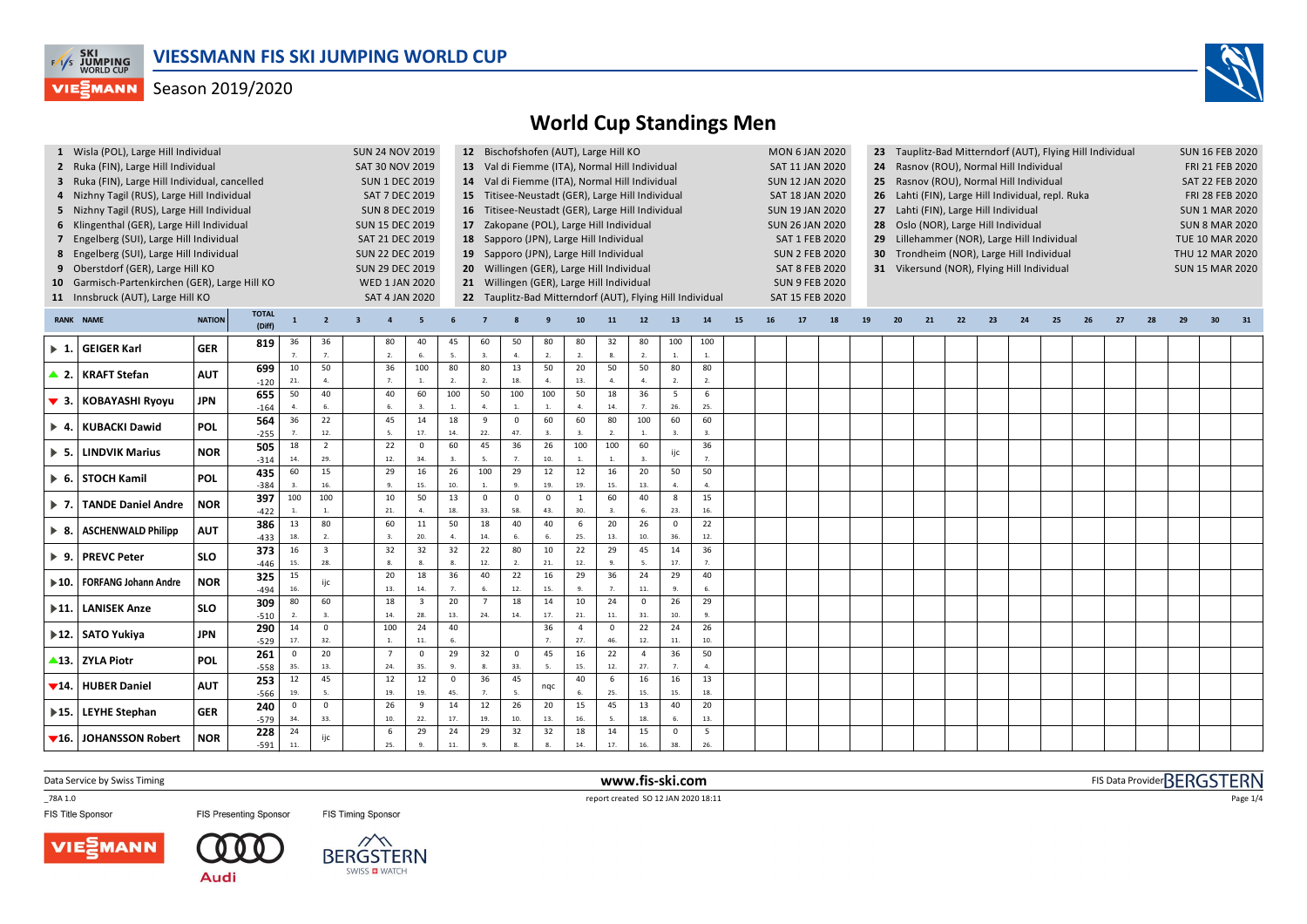

### Season 2019/2020



# **World Cup Standings Men**

| 8<br>9                    | 1 Wisla (POL), Large Hill Individual<br>2 Ruka (FIN), Large Hill Individual<br>3 Ruka (FIN), Large Hill Individual, cancelled<br>4 Nizhny Tagil (RUS), Large Hill Individual<br>5 Nizhny Tagil (RUS), Large Hill Individual<br>6 Klingenthal (GER), Large Hill Individual<br>7 Engelberg (SUI), Large Hill Individual<br>Engelberg (SUI), Large Hill Individual<br>Oberstdorf (GER), Large Hill KO<br>10 Garmisch-Partenkirchen (GER), Large Hill KO<br>11 Innsbruck (AUT), Large Hill KO |               |                        | <b>SUN 24 NOV 2019</b><br><b>SAT 30 NOV 2019</b><br><b>SUN 1 DEC 2019</b><br>SAT 7 DEC 2019<br><b>SUN 8 DEC 2019</b><br><b>SUN 15 DEC 2019</b><br>SAT 21 DEC 2019<br><b>SUN 22 DEC 2019</b><br><b>SUN 29 DEC 2019</b><br><b>WED 1 JAN 2020</b><br><b>SAT 4 JAN 2020</b> |                                |                         | 12 Bischofshofen (AUT), Large Hill KO<br><b>MON 6 JAN 2020</b><br>23 Tauplitz-Bad Mitterndorf (AUT), Flying Hill Individual<br>13 Val di Fiemme (ITA), Normal Hill Individual<br>SAT 11 JAN 2020<br>24 Rasnov (ROU), Normal Hill Individual<br>14 Val di Fiemme (ITA), Normal Hill Individual<br>Rasnov (ROU), Normal Hill Individual<br><b>SUN 12 JAN 2020</b><br>25<br>15 Titisee-Neustadt (GER), Large Hill Individual<br>SAT 18 JAN 2020<br>26 Lahti (FIN), Large Hill Individual, repl. Ruka<br>16 Titisee-Neustadt (GER), Large Hill Individual<br><b>SUN 19 JAN 2020</b><br>Lahti (FIN), Large Hill Individual<br>27<br>17 Zakopane (POL), Large Hill Individual<br>28 Oslo (NOR), Large Hill Individual<br><b>SUN 26 JAN 2020</b><br>18 Sapporo (JPN), Large Hill Individual<br>29 Lillehammer (NOR), Large Hill Individual<br>SAT 1 FEB 2020<br>19 Sapporo (JPN), Large Hill Individual<br><b>SUN 2 FEB 2020</b><br>30 Trondheim (NOR), Large Hill Individual<br>20 Willingen (GER), Large Hill Individual<br><b>SAT 8 FEB 2020</b><br>31 Vikersund (NOR), Flying Hill Individual<br>21 Willingen (GER), Large Hill Individual<br><b>SUN 9 FEB 2020</b><br>22 Tauplitz-Bad Mitterndorf (AUT), Flying Hill Individual<br>SAT 15 FEB 2020 |                         |                      |                             |                      |                    |                       |                     |                        |                    |                        |    |    |    |    |    | <b>SUN 16 FEB 2020</b><br><b>FRI 21 FEB 2020</b><br>SAT 22 FEB 2020<br>FRI 28 FEB 2020<br><b>SUN 1 MAR 2020</b><br><b>SUN 8 MAR 2020</b><br><b>TUE 10 MAR 2020</b><br>THU 12 MAR 2020<br><b>SUN 15 MAR 2020</b> |    |    |    |    |    |    |    |    |    |                 |  |
|---------------------------|-------------------------------------------------------------------------------------------------------------------------------------------------------------------------------------------------------------------------------------------------------------------------------------------------------------------------------------------------------------------------------------------------------------------------------------------------------------------------------------------|---------------|------------------------|-------------------------------------------------------------------------------------------------------------------------------------------------------------------------------------------------------------------------------------------------------------------------|--------------------------------|-------------------------|--------------------------------------------------------------------------------------------------------------------------------------------------------------------------------------------------------------------------------------------------------------------------------------------------------------------------------------------------------------------------------------------------------------------------------------------------------------------------------------------------------------------------------------------------------------------------------------------------------------------------------------------------------------------------------------------------------------------------------------------------------------------------------------------------------------------------------------------------------------------------------------------------------------------------------------------------------------------------------------------------------------------------------------------------------------------------------------------------------------------------------------------------------------------------------------------------------------------------------------------------|-------------------------|----------------------|-----------------------------|----------------------|--------------------|-----------------------|---------------------|------------------------|--------------------|------------------------|----|----|----|----|----|-----------------------------------------------------------------------------------------------------------------------------------------------------------------------------------------------------------------|----|----|----|----|----|----|----|----|----|-----------------|--|
|                           | <b>RANK NAME</b>                                                                                                                                                                                                                                                                                                                                                                                                                                                                          | <b>NATION</b> | <b>TOTAL</b><br>(Diff) | $\mathbf{1}$                                                                                                                                                                                                                                                            | $\overline{2}$                 | $\overline{\mathbf{3}}$ | $\overline{a}$                                                                                                                                                                                                                                                                                                                                                                                                                                                                                                                                                                                                                                                                                                                                                                                                                                                                                                                                                                                                                                                                                                                                                                                                                                   |                         |                      |                             |                      |                    | 10                    | 11                  | 12                     | 13                 | 14                     | 15 | 16 | 17 | 18 | 19 | 20                                                                                                                                                                                                              | 21 | 22 | 23 | 24 | 25 | 26 | 27 | 28 | 29 | 30 <sup>°</sup> |  |
| $\blacktriangleright$ 1.  | <b>GEIGER Karl</b>                                                                                                                                                                                                                                                                                                                                                                                                                                                                        | <b>GER</b>    | 819                    | 36                                                                                                                                                                                                                                                                      | 36                             |                         | 80                                                                                                                                                                                                                                                                                                                                                                                                                                                                                                                                                                                                                                                                                                                                                                                                                                                                                                                                                                                                                                                                                                                                                                                                                                               | 40                      | 45                   | 60                          | 50                   | 80                 | 80                    | 32                  | 80                     | 100                | 100                    |    |    |    |    |    |                                                                                                                                                                                                                 |    |    |    |    |    |    |    |    |    |                 |  |
|                           |                                                                                                                                                                                                                                                                                                                                                                                                                                                                                           |               | 699                    | $\overline{7}$<br>10                                                                                                                                                                                                                                                    | 7.<br>50                       |                         | 2.<br>36                                                                                                                                                                                                                                                                                                                                                                                                                                                                                                                                                                                                                                                                                                                                                                                                                                                                                                                                                                                                                                                                                                                                                                                                                                         | 6.<br>100               | 5.<br>80             | 3.<br>80                    | 4.<br>13             | 2.<br>50           | 2.<br>20              | 8.<br>50            | $\overline{2}$ .<br>50 | 1.<br>80           | 1.<br>80               |    |    |    |    |    |                                                                                                                                                                                                                 |    |    |    |    |    |    |    |    |    |                 |  |
|                           | ▲ 2. KRAFT Stefan                                                                                                                                                                                                                                                                                                                                                                                                                                                                         | <b>AUT</b>    | $-120$                 | 21.                                                                                                                                                                                                                                                                     | $\overline{a}$                 |                         | 7.                                                                                                                                                                                                                                                                                                                                                                                                                                                                                                                                                                                                                                                                                                                                                                                                                                                                                                                                                                                                                                                                                                                                                                                                                                               | $1.$                    | 2.                   | 2.                          | 18.                  | 4.                 | 13.                   | 4.                  | 4.                     | 2.                 | 2.                     |    |    |    |    |    |                                                                                                                                                                                                                 |    |    |    |    |    |    |    |    |    |                 |  |
|                           | ▼ 3. KOBAYASHI Ryoyu                                                                                                                                                                                                                                                                                                                                                                                                                                                                      | JPN           | 655<br>$-164$          | 50                                                                                                                                                                                                                                                                      | 40                             |                         | 40                                                                                                                                                                                                                                                                                                                                                                                                                                                                                                                                                                                                                                                                                                                                                                                                                                                                                                                                                                                                                                                                                                                                                                                                                                               | 60                      | 100                  | 50<br>$\overline{a}$        | 100                  | 100                | 50<br>$\mathbf{A}$    | 18<br>14.           | 36                     | 5<br>26.           | 6<br>25.               |    |    |    |    |    |                                                                                                                                                                                                                 |    |    |    |    |    |    |    |    |    |                 |  |
| $\blacktriangleright$ 4.  | <b>KUBACKI Dawid</b>                                                                                                                                                                                                                                                                                                                                                                                                                                                                      | <b>POL</b>    | 564                    | 36                                                                                                                                                                                                                                                                      | 22                             |                         | 45                                                                                                                                                                                                                                                                                                                                                                                                                                                                                                                                                                                                                                                                                                                                                                                                                                                                                                                                                                                                                                                                                                                                                                                                                                               | 14                      | 18                   | 9                           | $\mathbf 0$          | 60                 | 60                    | 80                  | 100                    | 60                 | 60                     |    |    |    |    |    |                                                                                                                                                                                                                 |    |    |    |    |    |    |    |    |    |                 |  |
|                           |                                                                                                                                                                                                                                                                                                                                                                                                                                                                                           |               | $-255$                 |                                                                                                                                                                                                                                                                         | 12.                            |                         | 5.                                                                                                                                                                                                                                                                                                                                                                                                                                                                                                                                                                                                                                                                                                                                                                                                                                                                                                                                                                                                                                                                                                                                                                                                                                               | 17.                     | 14.                  | 22.<br>45                   | 47.                  | 3.                 | 3.                    | 2.                  | $\mathbf{1}$           | $\mathbf{3}$       | 3.                     |    |    |    |    |    |                                                                                                                                                                                                                 |    |    |    |    |    |    |    |    |    |                 |  |
| $\blacktriangleright$ 5.  | <b>LINDVIK Marius</b>                                                                                                                                                                                                                                                                                                                                                                                                                                                                     | <b>NOR</b>    | 505<br>$-314$          | 18<br>14.                                                                                                                                                                                                                                                               | $\overline{2}$<br>29.          |                         | 22<br>12.                                                                                                                                                                                                                                                                                                                                                                                                                                                                                                                                                                                                                                                                                                                                                                                                                                                                                                                                                                                                                                                                                                                                                                                                                                        | $\Omega$<br>34.         | 60<br>$\mathbf{3}$ . | 5.                          | 36<br>7 <sup>2</sup> | 26<br>10.          | 100                   | 100<br>$\mathbf{1}$ | 60<br>$\overline{3}$ . | ijc                | 36<br>$\overline{7}$ . |    |    |    |    |    |                                                                                                                                                                                                                 |    |    |    |    |    |    |    |    |    |                 |  |
| ▶ 6.                      | STOCH Kamil                                                                                                                                                                                                                                                                                                                                                                                                                                                                               | POL           | 435                    | 60                                                                                                                                                                                                                                                                      | 15                             |                         | 29                                                                                                                                                                                                                                                                                                                                                                                                                                                                                                                                                                                                                                                                                                                                                                                                                                                                                                                                                                                                                                                                                                                                                                                                                                               | 16                      | 26                   | 100                         | 29                   | 12                 | 12                    | 16                  | 20                     | 50                 | 50                     |    |    |    |    |    |                                                                                                                                                                                                                 |    |    |    |    |    |    |    |    |    |                 |  |
|                           |                                                                                                                                                                                                                                                                                                                                                                                                                                                                                           |               | $-384$                 | 100                                                                                                                                                                                                                                                                     | 16.<br>100                     |                         | 9.<br>10                                                                                                                                                                                                                                                                                                                                                                                                                                                                                                                                                                                                                                                                                                                                                                                                                                                                                                                                                                                                                                                                                                                                                                                                                                         | 15.<br>50               | 10.<br>13            | $\mathbf{1}$<br>$\mathbf 0$ | 9.<br>$\mathbf 0$    | 19.<br>$\mathbf 0$ | 19.<br>$\mathbf{1}$   | 15.<br>60           | 13.<br>40              | 4.<br>8            | $\mathbf{A}$<br>15     |    |    |    |    |    |                                                                                                                                                                                                                 |    |    |    |    |    |    |    |    |    |                 |  |
| ▶ 7.                      | <b>TANDE Daniel Andre</b>                                                                                                                                                                                                                                                                                                                                                                                                                                                                 | <b>NOR</b>    | 397<br>$-422$          |                                                                                                                                                                                                                                                                         |                                |                         | 21.                                                                                                                                                                                                                                                                                                                                                                                                                                                                                                                                                                                                                                                                                                                                                                                                                                                                                                                                                                                                                                                                                                                                                                                                                                              | $\mathbf{A}$            | 18.                  | 33.                         | 58.                  | 43.                | 30.                   | 3.                  | 6.                     | 23.                | 16.                    |    |    |    |    |    |                                                                                                                                                                                                                 |    |    |    |    |    |    |    |    |    |                 |  |
| ▶ 8.                      | <b>ASCHENWALD Philipp</b>                                                                                                                                                                                                                                                                                                                                                                                                                                                                 | <b>AUT</b>    | 386                    | 13                                                                                                                                                                                                                                                                      | 80                             |                         | 60                                                                                                                                                                                                                                                                                                                                                                                                                                                                                                                                                                                                                                                                                                                                                                                                                                                                                                                                                                                                                                                                                                                                                                                                                                               | 11                      | 50                   | 18                          | 40                   | 40                 | 6                     | 20                  | 26                     | $\mathsf 0$        | 22                     |    |    |    |    |    |                                                                                                                                                                                                                 |    |    |    |    |    |    |    |    |    |                 |  |
|                           |                                                                                                                                                                                                                                                                                                                                                                                                                                                                                           |               | $-433$                 | 18.                                                                                                                                                                                                                                                                     |                                |                         |                                                                                                                                                                                                                                                                                                                                                                                                                                                                                                                                                                                                                                                                                                                                                                                                                                                                                                                                                                                                                                                                                                                                                                                                                                                  | 20.                     |                      | 14.                         | 6.                   |                    | 25.                   | 13.                 | 10.                    | 36.                | 12.                    |    |    |    |    |    |                                                                                                                                                                                                                 |    |    |    |    |    |    |    |    |    |                 |  |
|                           | ▶ 9. PREVC Peter                                                                                                                                                                                                                                                                                                                                                                                                                                                                          | <b>SLO</b>    | 373<br>$-446$          | 16<br>15.                                                                                                                                                                                                                                                               | $\overline{\mathbf{3}}$<br>28. |                         | 32<br>8.                                                                                                                                                                                                                                                                                                                                                                                                                                                                                                                                                                                                                                                                                                                                                                                                                                                                                                                                                                                                                                                                                                                                                                                                                                         | 32<br>8.                | 32<br>8.             | 22<br>12.                   | 80<br>2.             | 10<br>21.          | 22<br>12.             | 29<br>9.            | 45<br>5.               | $14\,$<br>17.      | 36<br>$\overline{7}$ . |    |    |    |    |    |                                                                                                                                                                                                                 |    |    |    |    |    |    |    |    |    |                 |  |
|                           |                                                                                                                                                                                                                                                                                                                                                                                                                                                                                           |               | 325                    | 15                                                                                                                                                                                                                                                                      |                                |                         | 20                                                                                                                                                                                                                                                                                                                                                                                                                                                                                                                                                                                                                                                                                                                                                                                                                                                                                                                                                                                                                                                                                                                                                                                                                                               | 18                      | 36                   | 40                          | 22                   | 16                 | 29                    | 36                  | 24                     | 29                 | 40                     |    |    |    |    |    |                                                                                                                                                                                                                 |    |    |    |    |    |    |    |    |    |                 |  |
| $\blacktriangleright$ 10. | FORFANG Johann Andre                                                                                                                                                                                                                                                                                                                                                                                                                                                                      | <b>NOR</b>    | $-494$                 | 16.                                                                                                                                                                                                                                                                     |                                |                         | 13.                                                                                                                                                                                                                                                                                                                                                                                                                                                                                                                                                                                                                                                                                                                                                                                                                                                                                                                                                                                                                                                                                                                                                                                                                                              | 14.                     | 7.                   | 6.                          | 12.                  | 15.                | $\mathbf Q$           | $\overline{7}$ .    | 11.                    | -9.                | 6.                     |    |    |    |    |    |                                                                                                                                                                                                                 |    |    |    |    |    |    |    |    |    |                 |  |
| $\blacktriangleright$ 11. | <b>LANISEK Anze</b>                                                                                                                                                                                                                                                                                                                                                                                                                                                                       | <b>SLO</b>    | 309                    | 80                                                                                                                                                                                                                                                                      | 60                             |                         | 18                                                                                                                                                                                                                                                                                                                                                                                                                                                                                                                                                                                                                                                                                                                                                                                                                                                                                                                                                                                                                                                                                                                                                                                                                                               | $\overline{\mathbf{3}}$ | 20                   | $\overline{7}$              | 18                   | 14                 | 10                    | 24                  | $\mathbf 0$            | 26                 | 29                     |    |    |    |    |    |                                                                                                                                                                                                                 |    |    |    |    |    |    |    |    |    |                 |  |
|                           |                                                                                                                                                                                                                                                                                                                                                                                                                                                                                           |               | $-510$<br>290          | 14                                                                                                                                                                                                                                                                      | 3.<br>$\mathbf{0}$             |                         | 14.<br>100                                                                                                                                                                                                                                                                                                                                                                                                                                                                                                                                                                                                                                                                                                                                                                                                                                                                                                                                                                                                                                                                                                                                                                                                                                       | 28.<br>24               | 13.<br>40            | 24.                         | 14.                  | 17.<br>36          | 21.<br>$\overline{4}$ | 11.<br>$\mathbf{0}$ | 31.<br>22              | 10.<br>24          | 9.<br>26               |    |    |    |    |    |                                                                                                                                                                                                                 |    |    |    |    |    |    |    |    |    |                 |  |
|                           | ▶12. SATO Yukiya                                                                                                                                                                                                                                                                                                                                                                                                                                                                          | JPN           | $-529$                 | 17.                                                                                                                                                                                                                                                                     | 32.                            |                         | $\overline{1}$                                                                                                                                                                                                                                                                                                                                                                                                                                                                                                                                                                                                                                                                                                                                                                                                                                                                                                                                                                                                                                                                                                                                                                                                                                   | 11.                     | 6.                   |                             |                      | $\overline{7}$     | 27.                   | 46.                 | $12. \,$               | $11.$              | 10.                    |    |    |    |    |    |                                                                                                                                                                                                                 |    |    |    |    |    |    |    |    |    |                 |  |
|                           | ▲13. ZYLA Piotr                                                                                                                                                                                                                                                                                                                                                                                                                                                                           | <b>POL</b>    | 261                    | $\mathbf 0$                                                                                                                                                                                                                                                             | 20                             |                         | $\overline{7}$                                                                                                                                                                                                                                                                                                                                                                                                                                                                                                                                                                                                                                                                                                                                                                                                                                                                                                                                                                                                                                                                                                                                                                                                                                   | $\mathbf 0$             | 29                   | 32                          | $\mathbf 0$          | 45                 | 16                    | 22                  | $\overline{4}$         | 36                 | 50                     |    |    |    |    |    |                                                                                                                                                                                                                 |    |    |    |    |    |    |    |    |    |                 |  |
|                           |                                                                                                                                                                                                                                                                                                                                                                                                                                                                                           |               | $-558$                 | 35.                                                                                                                                                                                                                                                                     | 13.                            |                         | 24.                                                                                                                                                                                                                                                                                                                                                                                                                                                                                                                                                                                                                                                                                                                                                                                                                                                                                                                                                                                                                                                                                                                                                                                                                                              | 35.                     | 9.                   | 8.                          | 33.                  |                    | 15.                   | 12.                 | 27.                    | $\overline{7}$     | $\mathbf{A}$           |    |    |    |    |    |                                                                                                                                                                                                                 |    |    |    |    |    |    |    |    |    |                 |  |
| $\Psi$ 14.                | <b>HUBER Daniel</b>                                                                                                                                                                                                                                                                                                                                                                                                                                                                       | <b>AUT</b>    | 253<br>$-566$          | 12<br>19.                                                                                                                                                                                                                                                               | 45<br>5.                       |                         | 12<br>19.                                                                                                                                                                                                                                                                                                                                                                                                                                                                                                                                                                                                                                                                                                                                                                                                                                                                                                                                                                                                                                                                                                                                                                                                                                        | 12<br>19.               | $\mathsf 0$<br>45.   | 36<br>$\overline{7}$ .      | 45<br>5.             | nqc                | 40<br>6.              | 6<br>25.            | 16<br>15.              | 16<br>15.          | 13<br>18.              |    |    |    |    |    |                                                                                                                                                                                                                 |    |    |    |    |    |    |    |    |    |                 |  |
|                           |                                                                                                                                                                                                                                                                                                                                                                                                                                                                                           |               | 240                    | $\mathbf 0$                                                                                                                                                                                                                                                             | $\mathbf 0$                    |                         | 26                                                                                                                                                                                                                                                                                                                                                                                                                                                                                                                                                                                                                                                                                                                                                                                                                                                                                                                                                                                                                                                                                                                                                                                                                                               | $\overline{9}$          | 14                   | 12                          | 26                   | 20                 | 15                    | 45                  | 13                     | 40                 | 20                     |    |    |    |    |    |                                                                                                                                                                                                                 |    |    |    |    |    |    |    |    |    |                 |  |
|                           | ▶ 15.   LEYHE Stephan                                                                                                                                                                                                                                                                                                                                                                                                                                                                     | <b>GER</b>    | $-579$                 | 34.                                                                                                                                                                                                                                                                     | 33.                            |                         | 10.                                                                                                                                                                                                                                                                                                                                                                                                                                                                                                                                                                                                                                                                                                                                                                                                                                                                                                                                                                                                                                                                                                                                                                                                                                              | 22.                     | 17.                  | 19.                         | 10.                  | 13.                | 16.                   | 5.                  | 18.                    | 6.                 | 13.                    |    |    |    |    |    |                                                                                                                                                                                                                 |    |    |    |    |    |    |    |    |    |                 |  |
|                           | ▼16.   JOHANSSON Robert                                                                                                                                                                                                                                                                                                                                                                                                                                                                   | <b>NOR</b>    | 228<br>$-591$          | 24<br>11.                                                                                                                                                                                                                                                               | ijc                            |                         | 6<br>25.                                                                                                                                                                                                                                                                                                                                                                                                                                                                                                                                                                                                                                                                                                                                                                                                                                                                                                                                                                                                                                                                                                                                                                                                                                         | 29<br>$\mathbf{q}$      | 24<br>11.            | 29                          | 32                   | 32<br>8.           | 18<br>14.             | 14<br>17.           | 15<br>16.              | $\mathsf 0$<br>38. | 5<br>26.               |    |    |    |    |    |                                                                                                                                                                                                                 |    |    |    |    |    |    |    |    |    |                 |  |
|                           |                                                                                                                                                                                                                                                                                                                                                                                                                                                                                           |               |                        |                                                                                                                                                                                                                                                                         |                                |                         |                                                                                                                                                                                                                                                                                                                                                                                                                                                                                                                                                                                                                                                                                                                                                                                                                                                                                                                                                                                                                                                                                                                                                                                                                                                  |                         |                      |                             |                      |                    |                       |                     |                        |                    |                        |    |    |    |    |    |                                                                                                                                                                                                                 |    |    |    |    |    |    |    |    |    |                 |  |

Data Service by Swiss Timing **www.fis-ski.com**

FIS Title Sponsor

**FIS Presenting Sponsor** FIS Timing Sponsor

\_78A 1.0 report created SO 12 JAN 2020 18:11

FIS Data Provider BERGSTERN



- 0

**Audi** 

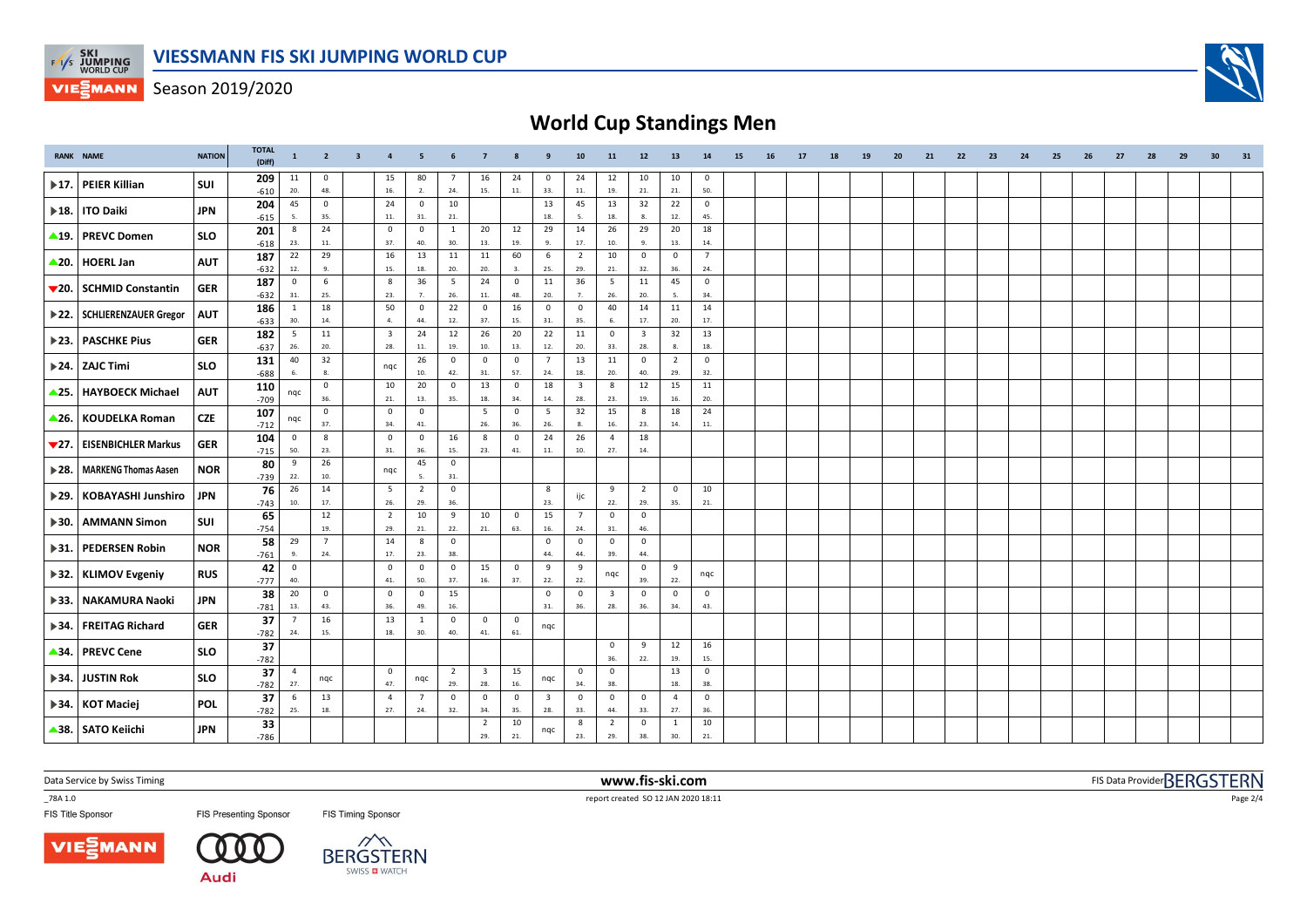

Season 2019/2020

# **World Cup Standings Men**

|                           | <b>RANK NAME</b>              | <b>NATION</b> | <b>TOTAL</b><br>(Diff) | $\mathbf{1}$            | $\overline{2}$        | $\overline{\mathbf{3}}$ | $\overline{4}$          | 5                     | 6                     |                                |                    | 9                       | 10                      | 11                      | 12                      | 13                    | 14                    | 15 | 16 | 17 | 18 | 19 | 20 | 21 | 22 | 23 | 24 | 25 | 26 | 27 | 28 | 29 | 30 | 31 |
|---------------------------|-------------------------------|---------------|------------------------|-------------------------|-----------------------|-------------------------|-------------------------|-----------------------|-----------------------|--------------------------------|--------------------|-------------------------|-------------------------|-------------------------|-------------------------|-----------------------|-----------------------|----|----|----|----|----|----|----|----|----|----|----|----|----|----|----|----|----|
| $\blacktriangleright$ 17. | PEIER Killian                 | SUI           | 209<br>$-610$          | 11<br>20.               | $\mathbf 0$<br>48.    |                         | 15<br>16.               | 80<br>2.              | -7<br>24.             | 16<br>15.                      | 24<br>11.          | 0<br>33.                | 24<br>11.               | 12<br>19.               | 10<br>21.               | 10<br>21.             | 0<br>50.              |    |    |    |    |    |    |    |    |    |    |    |    |    |    |    |    |    |
|                           | ▶ 18.   ITO Daiki             | <b>JPN</b>    | 204                    | 45                      | $\mathbf 0$           |                         | 24                      | $\overline{0}$        | 10                    |                                |                    | 13                      | 45                      | 13                      | 32                      | 22                    | $\overline{0}$        |    |    |    |    |    |    |    |    |    |    |    |    |    |    |    |    |    |
|                           |                               |               | $-615$<br>201          | - 5.<br>8               | 35.<br>24             |                         | 11.<br>$\mathbf 0$      | 31.<br>$\overline{0}$ | 21.<br>1              | 20                             | 12                 | 18.<br>29               | 5.<br>14                | 18.<br>26               | 8.<br>29                | 12.<br>20             | 45.<br>18             |    |    |    |    |    |    |    |    |    |    |    |    |    |    |    |    |    |
| $\blacktriangle$ 19.      | <b>PREVC Domen</b>            | <b>SLO</b>    | $-618$                 | 23.                     | 11.                   |                         | 37.                     | 40.                   | 30.                   | 13.                            | 19.                | 9.                      | 17.                     | 10.                     | 9.                      | 13.                   | 14.                   |    |    |    |    |    |    |    |    |    |    |    |    |    |    |    |    |    |
|                           | ▲20. HOERL Jan                | <b>AUT</b>    | 187                    | 22<br>12.               | 29<br>9.              |                         | 16<br>15.               | 13<br>18.             | 11<br>20.             | 11<br>20.                      | 60<br>3.           | 6<br>25.                | $\overline{2}$<br>29.   | 10<br>21.               | $\mathbf 0$<br>32.      | $\mathbf 0$<br>36.    | $\overline{7}$<br>24. |    |    |    |    |    |    |    |    |    |    |    |    |    |    |    |    |    |
|                           |                               |               | $-632$<br>187          | $\overline{\mathbf{0}}$ | 6                     |                         | 8                       | 36                    | 5                     | 24                             | $\mathbf 0$        | 11                      | 36                      | 5                       | 11                      | 45                    | $\mathbf 0$           |    |    |    |    |    |    |    |    |    |    |    |    |    |    |    |    |    |
|                           | ▼20. SCHMID Constantin        | <b>GER</b>    | $-632$                 | 31.                     | 25.                   |                         | 23.                     | 7.                    | 26.                   | $11.$                          | 48.                | 20.                     | 7.                      | 26.                     | 20.                     | 5.                    | 34.                   |    |    |    |    |    |    |    |    |    |    |    |    |    |    |    |    |    |
|                           | > 22.   SCHLIERENZAUER Gregor | <b>AUT</b>    | 186<br>$-633$          | 1<br>30.                | 18<br>14.             |                         | 50<br>4.                | $\mathbf{0}$<br>44.   | 22<br>12.             | $\mathbf{0}$<br>37.            | 16<br>15.          | $\mathbf 0$<br>31.      | $\mathbf 0$<br>35.      | 40<br>6.                | 14<br>17.               | 11<br>20.             | 14<br>17.             |    |    |    |    |    |    |    |    |    |    |    |    |    |    |    |    |    |
| $\blacktriangleright$ 23. | <b>PASCHKE Pius</b>           | <b>GER</b>    | 182                    | 5                       | 11                    |                         | $\overline{\mathbf{3}}$ | 24                    | 12                    | 26                             | 20                 | 22                      | 11                      | $\mathbf 0$             | $\overline{\mathbf{3}}$ | 32                    | 13                    |    |    |    |    |    |    |    |    |    |    |    |    |    |    |    |    |    |
|                           |                               |               | $-637$                 | 26.                     | 20.                   |                         | 28.                     | 11.                   | 19.                   | 10.                            | 13.                | 12.                     | 20.                     | 33.                     | 28.                     | 8                     | 18.                   |    |    |    |    |    |    |    |    |    |    |    |    |    |    |    |    |    |
|                           | 24. ZAJC Timi                 | <b>SLO</b>    | 131<br>$-688$          | 40<br>6.                | 32<br>8.              |                         | nqc                     | 26<br>10.             | $\mathbf 0$<br>42.    | $\mathbf 0$<br>31.             | $\mathbf 0$<br>57. | $\overline{7}$<br>24.   | 13<br>18.               | 11<br>20.               | $\mathbf 0$<br>40.      | $\overline{2}$<br>29. | $\mathsf 0$<br>32.    |    |    |    |    |    |    |    |    |    |    |    |    |    |    |    |    |    |
| $\triangle$ 25.           | HAYBOECK Michael              | <b>AUT</b>    | 110                    | nqc                     | $\mathbf 0$           |                         | 10                      | 20                    | $\overline{0}$        | 13                             | $\mathbf 0$        | 18                      | $\overline{\mathbf{3}}$ | 8                       | 12                      | 15                    | 11                    |    |    |    |    |    |    |    |    |    |    |    |    |    |    |    |    |    |
|                           |                               |               | $-709$<br>107          |                         | 36.<br>$\mathbf 0$    |                         | 21.<br>$\mathbf 0$      | 13.<br>$\overline{0}$ | 35.                   | 18.<br>5                       | 34.<br>$\mathbf 0$ | 14.<br>5                | 28.<br>32               | 23.<br>15               | 19.<br>8                | 16.<br>18             | 20.<br>24             |    |    |    |    |    |    |    |    |    |    |    |    |    |    |    |    |    |
|                           | ▲26. KOUDELKA Roman           | <b>CZE</b>    | $-712$                 | nqc                     | 37.                   |                         | 34.                     | 41.                   |                       | 26.                            | 36.                | 26.                     | 8.                      | 16.                     | 23.                     | 14.                   | 11.                   |    |    |    |    |    |    |    |    |    |    |    |    |    |    |    |    |    |
| 727.                      | <b>EISENBICHLER Markus</b>    | <b>GER</b>    | 104<br>$-715$          | $\overline{0}$<br>50.   | 8<br>23.              |                         | $\mathbf{0}$<br>31.     | $\overline{0}$<br>36. | 16<br>15.             | 8<br>23.                       | $\mathbf 0$<br>41. | 24<br>11.               | 26<br>10.               | $\overline{4}$<br>27.   | 18<br>14.               |                       |                       |    |    |    |    |    |    |    |    |    |    |    |    |    |    |    |    |    |
|                           | > 28.   MARKENG Thomas Aasen  | <b>NOR</b>    | 80                     | - 9                     | 26                    |                         |                         | 45                    | $\overline{0}$        |                                |                    |                         |                         |                         |                         |                       |                       |    |    |    |    |    |    |    |    |    |    |    |    |    |    |    |    |    |
|                           |                               |               | -739                   | 22.                     | 10.                   |                         | nqc                     | 5.                    | 31.                   |                                |                    |                         |                         |                         |                         |                       |                       |    |    |    |    |    |    |    |    |    |    |    |    |    |    |    |    |    |
| $\blacktriangleright$ 29. | <b>KOBAYASHI Junshiro</b>     | <b>JPN</b>    | 76<br>$-743$           | 26<br>10.               | 14<br>17.             |                         | $5\overline{5}$<br>26.  | $\overline{2}$<br>29. | $\mathbf 0$<br>36.    |                                |                    | 8<br>23.                | ijc                     | 9<br>22.                | $\overline{2}$<br>29.   | $\overline{0}$<br>35. | 10<br>21.             |    |    |    |    |    |    |    |    |    |    |    |    |    |    |    |    |    |
| $\blacktriangleright$ 30. | <b>AMMANN Simon</b>           | SUI           | 65                     |                         | 12                    |                         | $\overline{2}$          | 10                    | 9                     | 10                             | $\overline{0}$     | 15                      | $\overline{7}$          | $\overline{0}$          | $\mathbf 0$             |                       |                       |    |    |    |    |    |    |    |    |    |    |    |    |    |    |    |    |    |
|                           |                               |               | $-754$<br>58           | 29                      | 19.<br>$\overline{7}$ |                         | 29.<br>14               | 21.<br>8              | 22.<br>$\overline{0}$ | 21.                            | 63.                | 16.<br>$\mathbf 0$      | 24.<br>$\mathbf 0$      | 31.<br>$\mathbf 0$      | 46.<br>$\mathbf 0$      |                       |                       |    |    |    |    |    |    |    |    |    |    |    |    |    |    |    |    |    |
| $\blacktriangleright$ 31. | PEDERSEN Robin                | <b>NOR</b>    | $-761$                 | 9.                      | 24.                   |                         | 17.                     | 23.                   | 38.                   |                                |                    | 44.                     | 44.                     | 39.                     | 44.                     |                       |                       |    |    |    |    |    |    |    |    |    |    |    |    |    |    |    |    |    |
|                           | ▶ 32.   KLIMOV Evgeniy        | <b>RUS</b>    | 42                     | $\overline{0}$<br>40.   |                       |                         | $\mathbf 0$<br>41.      | $\mathbf 0$           | $\mathbf 0$           | 15                             | $\mathbf 0$        | 9                       | 9                       | nqc                     | $\mathbf 0$<br>39.      | 9<br>22.              | nqc                   |    |    |    |    |    |    |    |    |    |    |    |    |    |    |    |    |    |
|                           |                               |               | $-777$<br>38           | 20                      | $\overline{0}$        |                         | $\mathbf{0}$            | 50.<br>$\overline{0}$ | 37.<br>15             | 16.                            | 37.                | 22.<br>$\mathbf 0$      | 22.<br>$\mathbf{0}$     | $\overline{\mathbf{3}}$ | $\mathbf{0}$            | $\mathbf 0$           | $\mathbf{0}$          |    |    |    |    |    |    |    |    |    |    |    |    |    |    |    |    |    |
| $\blacktriangleright$ 33. | NAKAMURA Naoki                | JPN           | $-781$                 | 13.                     | 43.                   |                         | 36.                     | 49.                   | 16.                   |                                |                    | 31.                     | 36.                     | 28.                     | 36.                     | 34.                   | 43.                   |    |    |    |    |    |    |    |    |    |    |    |    |    |    |    |    |    |
|                           | ▶ 34. FREITAG Richard         | <b>GER</b>    | 37<br>$-782$           | $\overline{7}$<br>24.   | 16<br>15.             |                         | 13<br>18.               | $\mathbf{1}$<br>30.   | $\overline{0}$<br>40. | $\mathbf 0$<br>41.             | $\mathbf 0$<br>61. | nqc                     |                         |                         |                         |                       |                       |    |    |    |    |    |    |    |    |    |    |    |    |    |    |    |    |    |
|                           |                               |               | 37                     |                         |                       |                         |                         |                       |                       |                                |                    |                         |                         | $\mathbf 0$             | 9                       | 12                    | 16                    |    |    |    |    |    |    |    |    |    |    |    |    |    |    |    |    |    |
|                           | ▲34.   PREVC Cene             | <b>SLO</b>    | $-782$                 |                         |                       |                         |                         |                       |                       |                                |                    |                         |                         | 36.                     | 22.                     | 19.                   | 15.                   |    |    |    |    |    |    |    |    |    |    |    |    |    |    |    |    |    |
| $\blacktriangleright$ 34. | JUSTIN Rok                    | <b>SLO</b>    | 37<br>$-782$           | $\overline{4}$<br>27.   | nqc                   |                         | $\mathbf 0$<br>47.      | nqc                   | $\overline{2}$<br>29. | $\overline{\mathbf{3}}$<br>28. | 15<br>16.          | nqc                     | $\mathbf 0$<br>34.      | $\circ$<br>38.          |                         | 13<br>18.             | $\mathbf 0$<br>38.    |    |    |    |    |    |    |    |    |    |    |    |    |    |    |    |    |    |
|                           | ▶ 34.   KOT Maciej            | <b>POL</b>    | 37                     | 6                       | 13                    |                         | $\overline{4}$          | $\overline{7}$        | $\overline{0}$        | $\mathbf 0$                    | $\mathbf 0$        | $\overline{\mathbf{3}}$ | $\mathbf{0}$            | $\mathbf 0$             | $\mathbf 0$             | $\overline{4}$        | $\mathbf{0}$          |    |    |    |    |    |    |    |    |    |    |    |    |    |    |    |    |    |
|                           |                               |               | $-782$<br>33           | 25.                     | 18.                   |                         | 27.                     | 24.                   | 32.                   | 34.<br>2                       | 35.<br>10          | 28.                     | 33.<br>8                | 44.<br>$\overline{2}$   | 33.<br>$\mathbf 0$      | 27.<br>$\mathbf{1}$   | 36.<br>10             |    |    |    |    |    |    |    |    |    |    |    |    |    |    |    |    |    |
|                           | ▲38. SATO Keiichi             | JPN           | $-786$                 |                         |                       |                         |                         |                       |                       | 29.                            | 21.                | nqc                     | 23.                     | 29.                     | 38.                     | 30.                   | 21.                   |    |    |    |    |    |    |    |    |    |    |    |    |    |    |    |    |    |

Data Service by Swiss Timing **www.fis-ski.com**

FIS Title Sponsor

**FIS Presenting Sponsor** FIS Timing Sponsor

\_78A 1.0 report created SO 12 JAN 2020 18:11

FIS Data Provider BERGSTERN

**VIESMANN** 

-0

**Audi** 



Page 2/4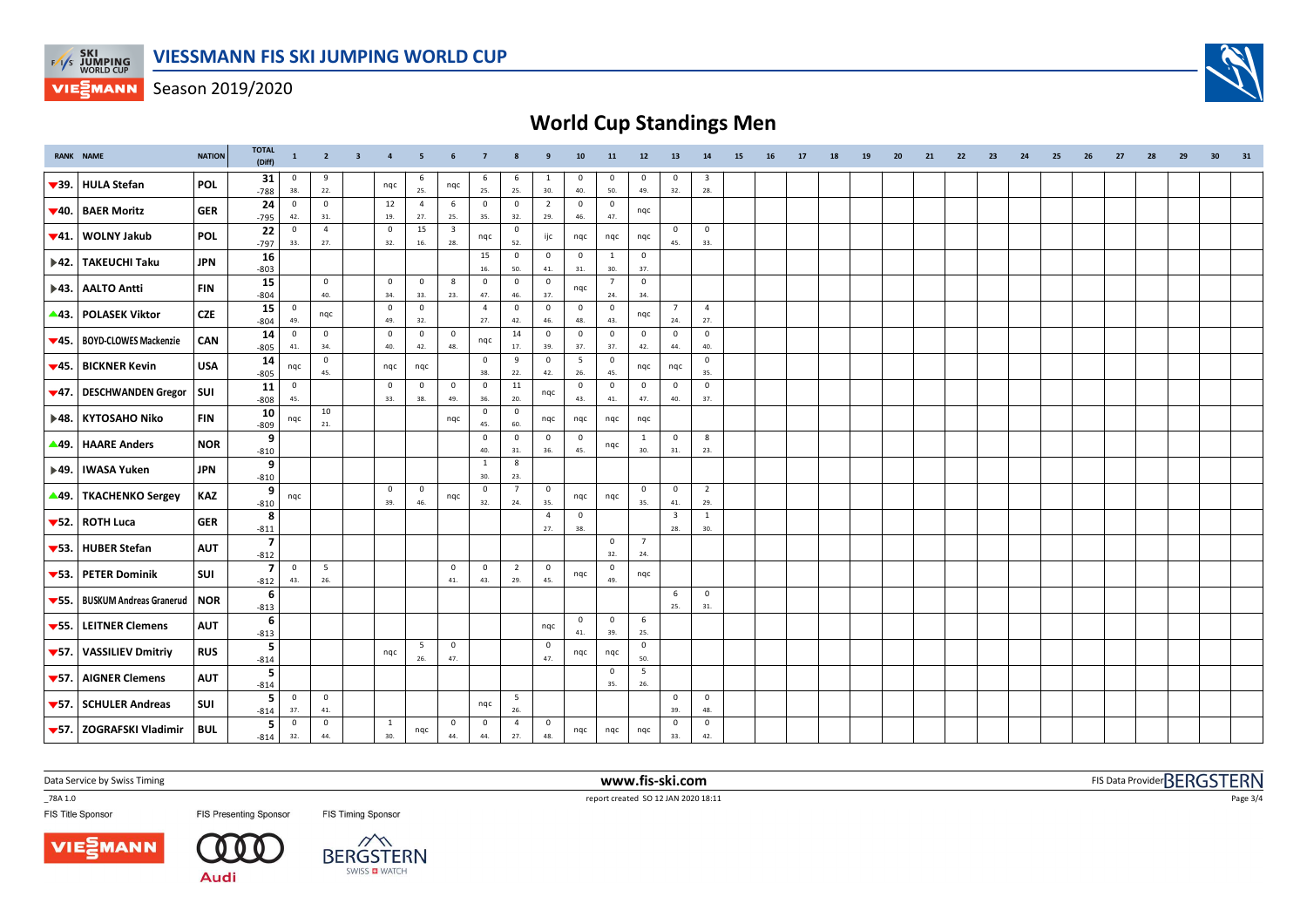

Season 2019/2020

# **World Cup Standings Men**

|                           | <b>RANK NAME</b>                              | <b>NATION</b> | <b>TOTAL</b><br>(Diff)   | $\mathbf{1}$        | $\overline{2}$         | $\overline{\mathbf{3}}$ | $\overline{4}$        | 5                      | 6                              | $\overline{7}$        | 8                     | 9                              | 10                          | 11                    | 12                    | 13                             | 14                             | 15 | 16 | 17 | 18 | 19 | 20 | 21 | 22 | 23 | 24 | 25 | 26 | 27 | 28 | 29 | 30 | 31 |
|---------------------------|-----------------------------------------------|---------------|--------------------------|---------------------|------------------------|-------------------------|-----------------------|------------------------|--------------------------------|-----------------------|-----------------------|--------------------------------|-----------------------------|-----------------------|-----------------------|--------------------------------|--------------------------------|----|----|----|----|----|----|----|----|----|----|----|----|----|----|----|----|----|
| $\blacktriangledown$ 39.  | <b>HULA Stefan</b>                            | <b>POL</b>    | 31<br>$-788$             | $\mathbf 0$<br>38.  | 9<br>22.               |                         | nqc                   | 6<br>25.               | nqc                            | 6<br>25.              | 6<br>25.              | -1<br>30.                      | 0<br>40.                    | 0<br>50.              | 0<br>49.              | 0<br>32.                       | 3<br>28.                       |    |    |    |    |    |    |    |    |    |    |    |    |    |    |    |    |    |
| ▼40.                      | <b>BAER Moritz</b>                            | <b>GER</b>    | 24<br>$-795$             | $\mathbf 0$<br>42.  | $\mathbf 0$<br>31.     |                         | 12<br>19.             | $\overline{4}$<br>27.  | 6<br>25.                       | $\mathbf 0$<br>35.    | $\mathbf 0$<br>32.    | $\overline{2}$<br>29.          | $\mathbf 0$<br>46.          | $\mathbf 0$<br>47.    | nqc                   |                                |                                |    |    |    |    |    |    |    |    |    |    |    |    |    |    |    |    |    |
| $\blacktriangledown 41.$  | <b>WOLNY Jakub</b>                            | <b>POL</b>    | 22<br>$-797$             | $\mathbf 0$<br>33.  | $\overline{4}$<br>27.  |                         | $\overline{0}$<br>32. | 15<br>16.              | $\overline{\mathbf{3}}$<br>28. | nqc                   | 0<br>52.              | ijc                            | nqc                         | nqc                   | nqc                   | $\overline{\mathbf{0}}$<br>45. | $\mathbf 0$<br>33.             |    |    |    |    |    |    |    |    |    |    |    |    |    |    |    |    |    |
| $\blacktriangleright$ 42. | <b>TAKEUCHI Taku</b>                          | <b>JPN</b>    | 16                       |                     |                        |                         |                       |                        |                                | 15<br>16.             | $\mathbf{0}$<br>50.   | $\overline{0}$<br>41.          | $\overline{0}$<br>$\bf 31.$ | 1<br>30.              | $\mathbf 0$<br>37.    |                                |                                |    |    |    |    |    |    |    |    |    |    |    |    |    |    |    |    |    |
|                           | ▶43.   AALTO Antti                            | <b>FIN</b>    | $-803$<br>15             |                     | $\mathbf 0$            |                         | $\mathbf 0$<br>34.    | $\mathbf 0$            | 8                              | $\mathbf 0$           | $\mathsf 0$           | $\mathbf 0$                    | nqc                         | $\overline{7}$        | $\mathbf 0$           |                                |                                |    |    |    |    |    |    |    |    |    |    |    |    |    |    |    |    |    |
|                           | ▲43. POLASEK Viktor                           | <b>CZE</b>    | $-804$<br>15             | $\mathbf 0$         | 40.<br>nqc             |                         | $\overline{0}$        | 33.<br>$\overline{0}$  | 23.                            | 47.<br>$\overline{4}$ | 46.<br>$\mathbf{0}$   | 37.<br>$\overline{0}$          | $\mathbf 0$                 | 24.<br>$\mathbf 0$    | 34.<br>nqc            | $\overline{7}$                 | $\overline{4}$                 |    |    |    |    |    |    |    |    |    |    |    |    |    |    |    |    |    |
| $\Psi$ 45.                | <b>BOYD-CLOWES Mackenzie</b>                  | CAN           | $-804$<br>14             | 49.<br>$\mathbf 0$  | $\mathbf 0$            |                         | 49.<br>$\mathbf 0$    | 32.<br>$\mathbf 0$     | $\mathsf 0$                    | 27.<br>nqc            | 42.<br>14             | 46.<br>$\mathbf 0$             | 48.<br>$\mathsf 0$          | 43.<br>$\mathsf 0$    | $\mathbf 0$           | 24.<br>$\overline{\mathbf{0}}$ | 27.<br>$\mathsf 0$             |    |    |    |    |    |    |    |    |    |    |    |    |    |    |    |    |    |
|                           | ▼45.   BICKNER Kevin                          | <b>USA</b>    | $-805$<br>14             | 41.<br>nqc          | 34.<br>$\mathbf 0$     |                         | 40.<br>nqc            | 42.<br>nqc             | 48.                            | $\mathbf 0$           | 17.<br>9              | 39.<br>$\overline{\mathbf{0}}$ | 37.<br>5                    | 37.<br>$\mathbf 0$    | 42.<br>nqc            | 44.<br>nqc                     | 40.<br>$\mathsf 0$             |    |    |    |    |    |    |    |    |    |    |    |    |    |    |    |    |    |
|                           | $\blacktriangledown$ 47.   DESCHWANDEN Gregor | SUI           | $-805$<br>11             | $\mathbf 0$         | 45.                    |                         | $\overline{0}$        | $\mathbf 0$            | $\mathsf 0$                    | 38.<br>$\circ$        | 22.<br>11             | 42.                            | 26.<br>$\mathbf 0$          | 45.<br>$\circ$        | $\mathsf 0$           | $\overline{\mathbf{0}}$        | 35.<br>$\mathsf 0$             |    |    |    |    |    |    |    |    |    |    |    |    |    |    |    |    |    |
|                           |                                               |               | $-808$<br>10             | 45.                 | 10                     |                         | 33.                   | 38.                    | 49.                            | 36.<br>$\mathbf 0$    | 20.<br>0              | nqc                            | 43.                         | 41.                   | 47.                   | 40.                            | 37.                            |    |    |    |    |    |    |    |    |    |    |    |    |    |    |    |    |    |
|                           | ▶48. KYTOSAHO Niko                            | <b>FIN</b>    | $-809$<br>9              | nqc                 | 21.                    |                         |                       |                        | nqc                            | 45.<br>$\mathbf{0}$   | 60.<br>$\mathbf 0$    | nqc<br>$\overline{0}$          | nqc<br>$\overline{0}$       | nqc                   | nqc<br>$\mathbf{1}$   | $\mathsf 0$                    | $\boldsymbol{8}$               |    |    |    |    |    |    |    |    |    |    |    |    |    |    |    |    |    |
| ▲49.                      | <b>HAARE Anders</b>                           | <b>NOR</b>    | $-810$<br>9              |                     |                        |                         |                       |                        |                                | 40.<br>$\mathbf{1}$   | 31.<br>$\bf 8$        | 36.                            | 45.                         | nqc                   | 30.                   | 31.                            | 23.                            |    |    |    |    |    |    |    |    |    |    |    |    |    |    |    |    |    |
|                           | ▶49.   IWASA Yuken                            | <b>JPN</b>    | $-810$                   |                     |                        |                         |                       |                        |                                | 30.                   | 23.                   |                                |                             |                       |                       |                                |                                |    |    |    |    |    |    |    |    |    |    |    |    |    |    |    |    |    |
| $\blacktriangle$ 49.      | <b>TKACHENKO Sergey</b>                       | KAZ           | 9<br>$-810$              | nqc                 |                        |                         | $\overline{0}$<br>39. | $\overline{0}$<br>46.  | nqc                            | $\mathbf{0}$<br>32.   | $\overline{7}$<br>24. | $\overline{\mathbf{0}}$<br>35. | nqc                         | nqc                   | $\mathbf 0$<br>35.    | $\overline{\mathbf{0}}$<br>41. | $\overline{2}$<br>29.          |    |    |    |    |    |    |    |    |    |    |    |    |    |    |    |    |    |
|                           | $\blacktriangledown$ 52.   ROTH Luca          | <b>GER</b>    | 8<br>$-811$              |                     |                        |                         |                       |                        |                                |                       |                       | $\overline{4}$<br>27.          | $\mathbf 0$<br>38.          |                       |                       | $\overline{\mathbf{3}}$<br>28. | $\mathbf{1}$<br>30.            |    |    |    |    |    |    |    |    |    |    |    |    |    |    |    |    |    |
| $\blacktriangledown$ 53.  | <b>HUBER Stefan</b>                           | <b>AUT</b>    | $\overline{7}$<br>$-812$ |                     |                        |                         |                       |                        |                                |                       |                       |                                |                             | $\circ$<br>32.        | $\overline{7}$<br>24. |                                |                                |    |    |    |    |    |    |    |    |    |    |    |    |    |    |    |    |    |
|                           | ▼53. PETER Dominik                            | SUI           | $\overline{7}$<br>$-812$ | $\mathbf{0}$<br>43. | $5\overline{5}$<br>26. |                         |                       |                        | 0<br>41.                       | $\mathbf 0$<br>43.    | $\overline{2}$<br>29. | $\mathbf 0$<br>45.             | nqc                         | $\overline{0}$<br>49. | nqc                   |                                |                                |    |    |    |    |    |    |    |    |    |    |    |    |    |    |    |    |    |
| $\blacktriangledown$ 55.  | <b>BUSKUM Andreas Granerud</b>                | NOR           | - 6<br>$-813$            |                     |                        |                         |                       |                        |                                |                       |                       |                                |                             |                       |                       | 6<br>25.                       | $\overline{0}$<br>31.          |    |    |    |    |    |    |    |    |    |    |    |    |    |    |    |    |    |
| $\blacktriangledown$ 55.  | <b>LEITNER Clemens</b>                        | <b>AUT</b>    | -6<br>$-813$             |                     |                        |                         |                       |                        |                                |                       |                       | nqc                            | $\overline{0}$<br>41.       | $\overline{0}$<br>39. | 6<br>25.              |                                |                                |    |    |    |    |    |    |    |    |    |    |    |    |    |    |    |    |    |
| $\blacktriangledown$ 57.  | <b>VASSILIEV Dmitriy</b>                      | <b>RUS</b>    | 5<br>$-814$              |                     |                        |                         | nqc                   | $5\overline{5}$<br>26. | 0<br>47.                       |                       |                       | $\overline{0}$<br>47.          | nqc                         | nqc                   | $\mathbf 0$<br>50.    |                                |                                |    |    |    |    |    |    |    |    |    |    |    |    |    |    |    |    |    |
| $\blacktriangledown$ 57.  | <b>AIGNER Clemens</b>                         | <b>AUT</b>    | 5<br>$-814$              |                     |                        |                         |                       |                        |                                |                       |                       |                                |                             | $\overline{0}$<br>35. | 5<br>26.              |                                |                                |    |    |    |    |    |    |    |    |    |    |    |    |    |    |    |    |    |
|                           | ▼57. SCHULER Andreas                          | SUI           | -5<br>$-814$             | $\mathbf{0}$<br>37. | $\mathbf 0$<br>41.     |                         |                       |                        |                                | nqc                   | 5<br>26.              |                                |                             |                       |                       | $\overline{0}$<br>39.          | $\overline{\mathbf{0}}$<br>48. |    |    |    |    |    |    |    |    |    |    |    |    |    |    |    |    |    |
|                           | ▼57. ZOGRAFSKI Vladimir                       | i bul         | 5<br>$-814$              | $\mathbf 0$<br>32.  | $\overline{0}$<br>44.  |                         | $\mathbf{1}$<br>30.   | nqc                    | $\mathbf 0$<br>44.             | $\mathbf 0$<br>44.    | 4<br>27.              | $\overline{\mathbf{0}}$<br>48. | ngc                         | nqc                   | nqc                   | $\overline{0}$<br>33.          | $\mathbf 0$<br>42.             |    |    |    |    |    |    |    |    |    |    |    |    |    |    |    |    |    |

Data Service by Swiss Timing **www.fis-ski.com**

FIS Title Sponsor

**FIS Presenting Sponsor** FIS Timing Sponsor

\_78A 1.0 report created SO 12 JAN 2020 18:11

FIS Data Provider BERGSTERN

Page 3/4



-0

**Audi**